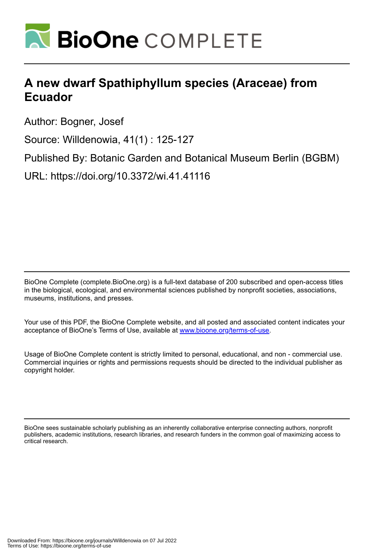

# **A new dwarf Spathiphyllum species (Araceae) from Ecuador**

Author: Bogner, Josef

Source: Willdenowia, 41(1) : 125-127

Published By: Botanic Garden and Botanical Museum Berlin (BGBM)

URL: https://doi.org/10.3372/wi.41.41116

BioOne Complete (complete.BioOne.org) is a full-text database of 200 subscribed and open-access titles in the biological, ecological, and environmental sciences published by nonprofit societies, associations, museums, institutions, and presses.

Your use of this PDF, the BioOne Complete website, and all posted and associated content indicates your acceptance of BioOne's Terms of Use, available at www.bioone.org/terms-of-use.

Usage of BioOne Complete content is strictly limited to personal, educational, and non - commercial use. Commercial inquiries or rights and permissions requests should be directed to the individual publisher as copyright holder.

BioOne sees sustainable scholarly publishing as an inherently collaborative enterprise connecting authors, nonprofit publishers, academic institutions, research libraries, and research funders in the common goal of maximizing access to critical research.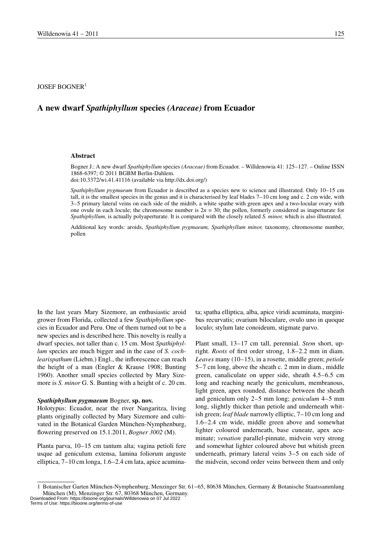$IOSEF BOGNER<sup>1</sup>$ 

# **A new dwarf** *Spathiphyllum* **species** *(Araceae)* **from Ecuador**

#### **Abstract**

Bogner J.: A new dwarf *Spathiphyllum* species *(Araceae)* from Ecuador. – Willdenowia 41: 125–127. – Online ISSN 1868-6397; © 2011 BGBM Berlin-Dahlem.

doi:10.3372/wi.41.41116 (available via http://dx.doi.org/)

*Spathiphyllum pygmaeum* from Ecuador is described as a species new to science and illustrated. Only 10–15 cm tall, it is the smallest species in the genus and it is characterised by leaf blades 7–10 cm long and c. 2 cm wide, with 3–5 primary lateral veins on each side of the midrib, a white spathe with green apex and a two-locular ovary with one ovule in each locule; the chromosome number is  $2n = 30$ ; the pollen, formerly considered as inaperturate for *Spathiphyllum,* is actually polyaperturate. It is compared with the closely related *S. minor,* which is also illustrated.

Additional key words: aroids, *Spathiphyllum pygmaeum, Spathiphyllum minor,* taxonomy, chromosome number, pollen

In the last years Mary Sizemore, an enthusiastic aroid grower from Florida, collected a few *Spathiphyllum* species in Ecuador and Peru. One of them turned out to be a new species and is described here. This novelty is really a dwarf species, not taller than c. 15 cm. Most *Spathiphyllum* species are much bigger and in the case of *S. cochlearispathum* (Liebm.) Engl., the inflorescence can reach the height of a man (Engler & Krause 1908; Bunting 1960). Another small species collected by Mary Sizemore is *S. minor* G. S. Bunting with a height of c. 20 cm.

#### *Spathiphyllum pygmaeum* Bogner, **sp. nov.**

Holotypus: Ecuador, near the river Nangaritza, living plants originally collected by Mary Sizemore and cultivated in the Botanical Garden München-Nymphenburg, flowering preserved on 15.1.2011, *Bogner 3002* (M).

Planta parva, 10–15 cm tantum alta; vagina petioli fere usque ad geniculum extensa, lamina foliorum anguste elliptica, 7–10 cm longa, 1.6–2.4 cm lata, apice acuminata; spatha elliptica, alba, apice viridi acuminata, marginibus recurvatis; ovarium biloculare, ovulo uno in quoque loculo; stylum late conoideum, stigmate parvo.

Plant small, 13–17 cm tall, perennial. *Stem* short, upright. *Roots* of first order strong, 1.8–2.2 mm in diam. *Leaves* many (10–15), in a rosette, middle green; *petiole* 5–7 cm long, above the sheath c. 2 mm in diam., middle green, canaliculate on upper side, sheath 4.5–6.5 cm long and reaching nearly the geniculum, membranous, light green, apex rounded, distance between the sheath and geniculum only 2–5 mm long; *geniculum* 4–5 mm long, slightly thicker than petiole and underneath whitish green; *leaf blade* narrowly elliptic, 7–10 cm long and 1.6–2.4 cm wide, middle green above and somewhat lighter coloured underneath, base cuneate, apex acuminate; *venation* parallel-pinnate, midvein very strong and somewhat lighter coloured above but whitish green underneath, primary lateral veins 3–5 on each side of the midvein, second order veins between them and only

<sup>1</sup> Botanischer Garten München-Nymphenburg, Menzinger Str. 61–65, 80638 München, Germany & Botanische Staatssammlung München (M), Menzinger Str. 67, 80368 München, Germany.

Downloaded From: https://bioone.org/journals/Willdenowia on 07 Jul 2022 Terms of Use: https://bioone.org/terms-of-use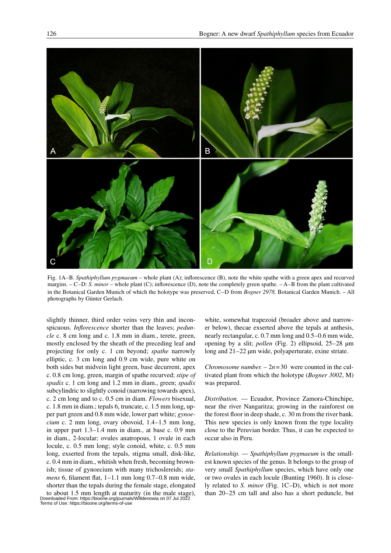

Fig. 1A–B. *Spathiphyllum pygmaeum* – whole plant (A); inflorescence (B), note the white spathe with a green apex and recurved margins. – C–D: *S. minor* – whole plant (C); inflorescence (D), note the completely green spathe. – A–B from the plant cultivated in the Botanical Garden Munich of which the holotype was preserved, C–D from *Bogner 2978,* Botanical Garden Munich. – All photographs by Günter Gerlach.

slightly thinner, third order veins very thin and inconspicuous. *Inflorescence* shorter than the leaves; *peduncle* c. 8 cm long and c. 1.8 mm in diam., terete, green, mostly enclosed by the sheath of the preceding leaf and projecting for only c. 1 cm beyond; *spathe* narrowly elliptic, c. 3 cm long and 0.9 cm wide, pure white on both sides but midvein light green, base decurrent, apex c. 0.8 cm long, green, margin of spathe recurved; *stipe of spadix* c. 1 cm long and 1.2 mm in diam., green; *spadix* subcylindric to slightly conoid (narrowing towards apex), c. 2 cm long and to c. 0.5 cm in diam. *Flowers* bisexual, c. 1.8 mm in diam.; tepals 6, truncate, c. 1.5 mm long, upper part green and 0.8 mm wide, lower part white; *gynoecium* c. 2 mm long, ovary obovoid, 1.4–1.5 mm long, in upper part 1.3–1.4 mm in diam., at base c. 0.9 mm in diam., 2-locular; ovules anatropous, 1 ovule in each locule, c. 0.5 mm long; style conoid, white, c. 0.5 mm long, exserted from the tepals, stigma small, disk-like, c. 0.4 mm in diam., whitish when fresh, becoming brownish; tissue of gynoecium with many trichoslereids; *stamens* 6, filament flat, 1–1.1 mm long 0.7–0.8 mm wide, shorter than the tepals during the female stage, elongated

to about 1.5 mm length at maturity (in the male stage), Downloaded From: https://bioone.org/journals/Willdenowia on 07 Jul 2022 Terms of Use: https://bioone.org/terms-of-use

white, somewhat trapezoid (broader above and narrower below), thecae exserted above the tepals at anthesis, nearly rectangular, c. 0.7 mm long and 0.5–0.6 mm wide, opening by a slit; *pollen* (Fig. 2) ellipsoid, 25–28 µm long and 21–22 µm wide, polyaperturate, exine striate.

*Chromosome number.*  $-2n=30$  were counted in the cultivated plant from which the holotype (*Bogner 3002*, M) was prepared.

*Distribution.* — Ecuador, Province Zamora-Chinchipe, near the river Nangaritza; growing in the rainforest on the forest floor in deep shade, c. 30 m from the river bank. This new species is only known from the type locality close to the Peruvian border. Thus, it can be expected to occur also in Peru.

*Relationship.* — *Spathiphyllum pygmaeum* is the smallest known species of the genus. It belongs to the group of very small *Spathiphyllum* species, which have only one or two ovules in each locule (Bunting 1960). It is closely related to *S. minor* (Fig. 1C–D), which is not more than 20–25 cm tall and also has a short peduncle, but